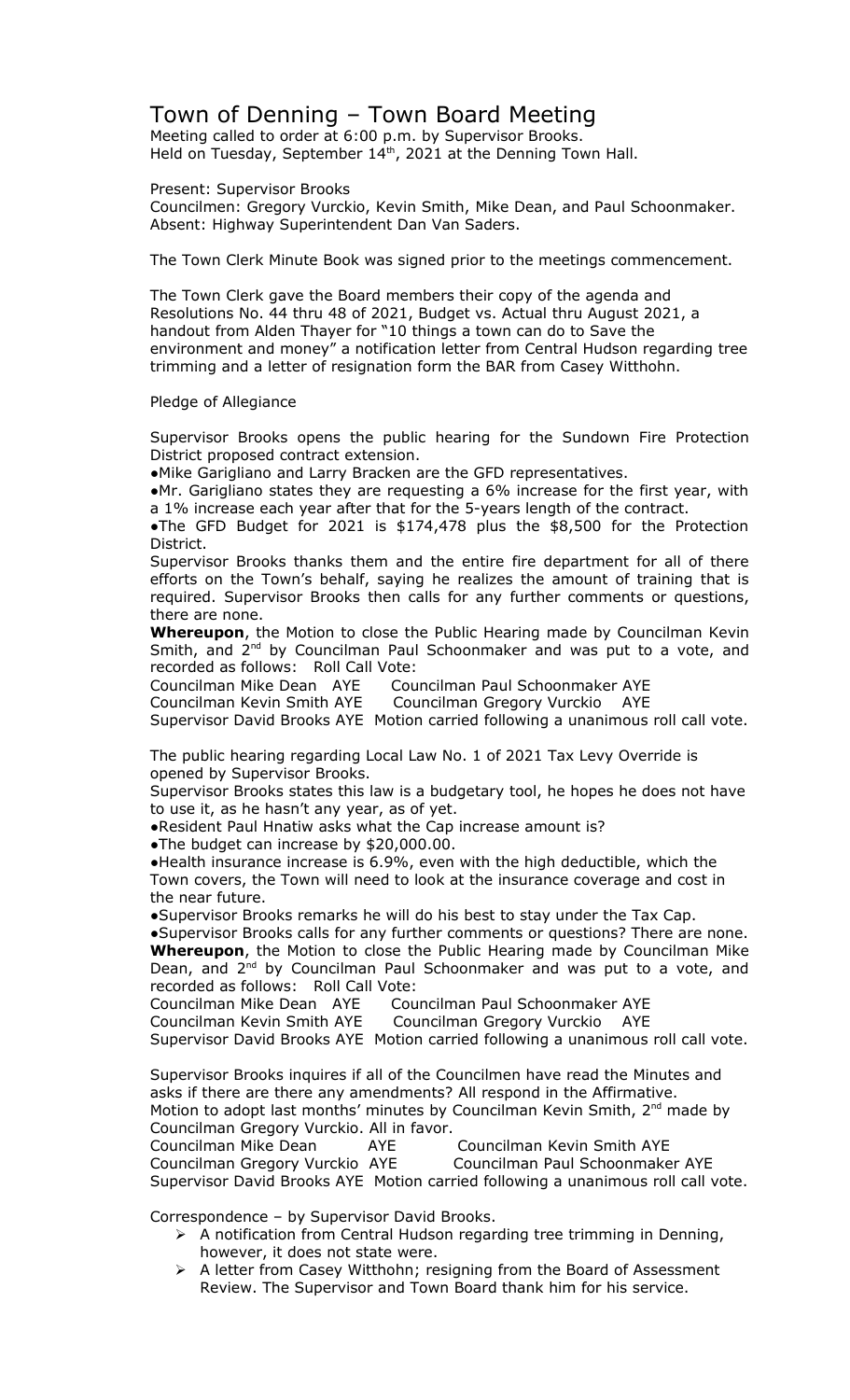## Town of Denning – Town Board Meeting

Meeting called to order at 6:00 p.m. by Supervisor Brooks. Held on Tuesday, September  $14<sup>th</sup>$ , 2021 at the Denning Town Hall.

Present: Supervisor Brooks

Councilmen: Gregory Vurckio, Kevin Smith, Mike Dean, and Paul Schoonmaker. Absent: Highway Superintendent Dan Van Saders.

The Town Clerk Minute Book was signed prior to the meetings commencement.

The Town Clerk gave the Board members their copy of the agenda and Resolutions No. 44 thru 48 of 2021, Budget vs. Actual thru August 2021, a handout from Alden Thayer for "10 things a town can do to Save the environment and money" a notification letter from Central Hudson regarding tree trimming and a letter of resignation form the BAR from Casey Witthohn.

## Pledge of Allegiance

Supervisor Brooks opens the public hearing for the Sundown Fire Protection District proposed contract extension.

●Mike Garigliano and Larry Bracken are the GFD representatives.

●Mr. Garigliano states they are requesting a 6% increase for the first year, with a 1% increase each year after that for the 5-years length of the contract.

●The GFD Budget for 2021 is \$174,478 plus the \$8,500 for the Protection District.

Supervisor Brooks thanks them and the entire fire department for all of there efforts on the Town's behalf, saying he realizes the amount of training that is required. Supervisor Brooks then calls for any further comments or questions, there are none.

**Whereupon**, the Motion to close the Public Hearing made by Councilman Kevin Smith, and 2<sup>nd</sup> by Councilman Paul Schoonmaker and was put to a vote, and recorded as follows: Roll Call Vote:

Councilman Mike Dean AYE Councilman Paul Schoonmaker AYE

Councilman Kevin Smith AYE Councilman Gregory Vurckio AYE

Supervisor David Brooks AYE Motion carried following a unanimous roll call vote.

The public hearing regarding Local Law No. 1 of 2021 Tax Levy Override is opened by Supervisor Brooks.

Supervisor Brooks states this law is a budgetary tool, he hopes he does not have to use it, as he hasn't any year, as of yet.

●Resident Paul Hnatiw asks what the Cap increase amount is?

●The budget can increase by \$20,000.00.

●Health insurance increase is 6.9%, even with the high deductible, which the Town covers, the Town will need to look at the insurance coverage and cost in the near future.

●Supervisor Brooks remarks he will do his best to stay under the Tax Cap.

●Supervisor Brooks calls for any further comments or questions? There are none. **Whereupon**, the Motion to close the Public Hearing made by Councilman Mike Dean, and  $2^{nd}$  by Councilman Paul Schoonmaker and was put to a vote, and recorded as follows: Roll Call Vote:

Councilman Mike Dean AYE Councilman Paul Schoonmaker AYE

Councilman Kevin Smith AYE Councilman Gregory Vurckio AYE

Supervisor David Brooks AYE Motion carried following a unanimous roll call vote.

Supervisor Brooks inquires if all of the Councilmen have read the Minutes and asks if there are there any amendments? All respond in the Affirmative. Motion to adopt last months' minutes by Councilman Kevin Smith, 2<sup>nd</sup> made by Councilman Gregory Vurckio. All in favor.

Councilman Mike Dean AYE Councilman Kevin Smith AYE Councilman Gregory Vurckio AYE Councilman Paul Schoonmaker AYE Supervisor David Brooks AYE Motion carried following a unanimous roll call vote.

Correspondence – by Supervisor David Brooks.

- $\triangleright$  A notification from Central Hudson regarding tree trimming in Denning, however, it does not state were.
- > A letter from Casey Witthohn; resigning from the Board of Assessment Review. The Supervisor and Town Board thank him for his service.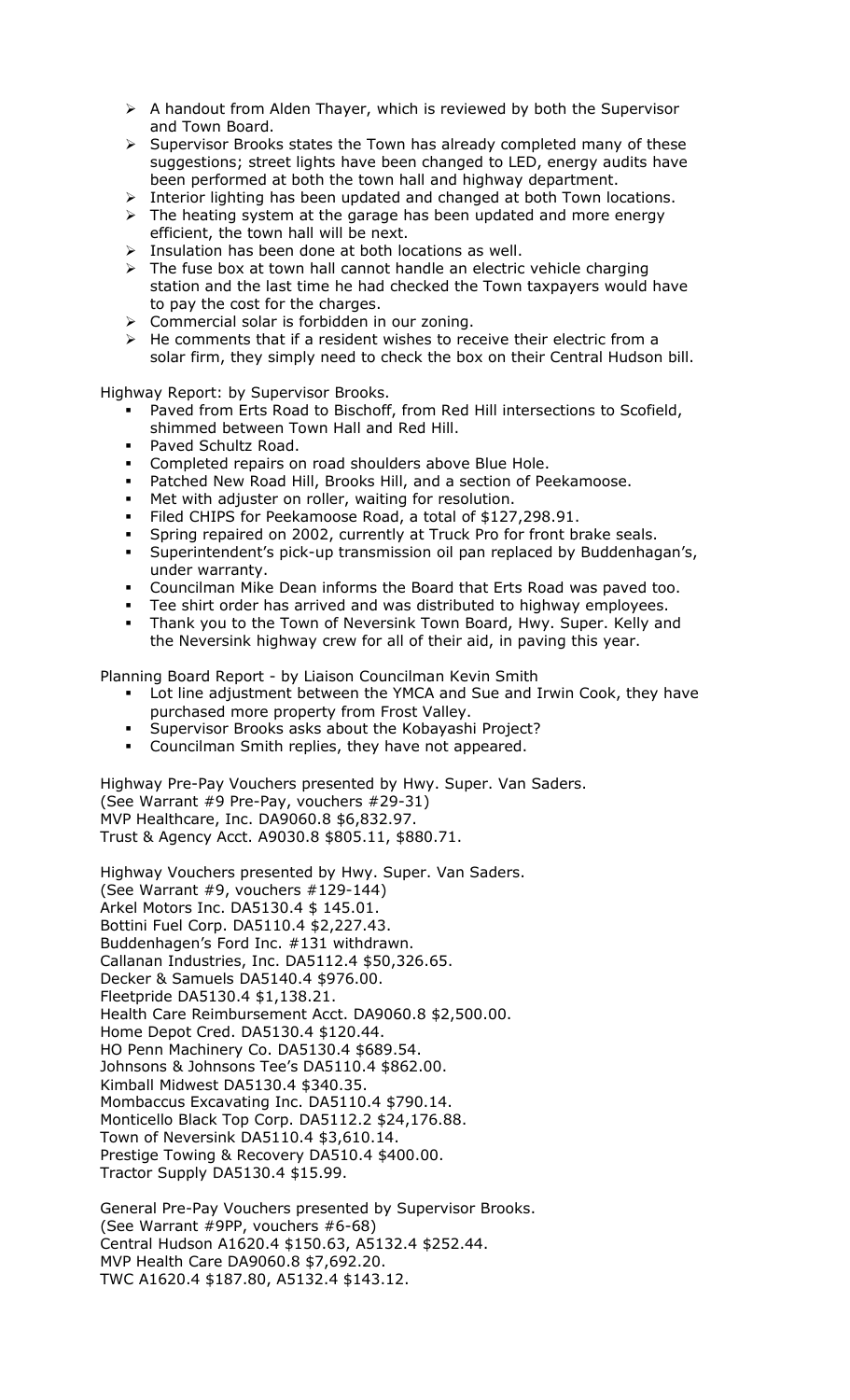- $\triangleright$  A handout from Alden Thayer, which is reviewed by both the Supervisor and Town Board.
- $\triangleright$  Supervisor Brooks states the Town has already completed many of these suggestions; street lights have been changed to LED, energy audits have been performed at both the town hall and highway department.
- > Interior lighting has been updated and changed at both Town locations.
- $\triangleright$  The heating system at the garage has been updated and more energy efficient, the town hall will be next.
- $\triangleright$  Insulation has been done at both locations as well.
- > The fuse box at town hall cannot handle an electric vehicle charging station and the last time he had checked the Town taxpayers would have to pay the cost for the charges.
- $\triangleright$  Commercial solar is forbidden in our zoning.
- $\triangleright$  He comments that if a resident wishes to receive their electric from a
- solar firm, they simply need to check the box on their Central Hudson bill.

Highway Report: by Supervisor Brooks.

- Paved from Erts Road to Bischoff, from Red Hill intersections to Scofield, shimmed between Town Hall and Red Hill.
- **Paved Schultz Road.**
- **Completed repairs on road shoulders above Blue Hole.**
- Patched New Road Hill, Brooks Hill, and a section of Peekamoose.
- Met with adjuster on roller, waiting for resolution.
- Filed CHIPS for Peekamoose Road, a total of \$127,298.91.
- Spring repaired on 2002, currently at Truck Pro for front brake seals.
- Superintendent's pick-up transmission oil pan replaced by Buddenhagan's, under warranty.
- Councilman Mike Dean informs the Board that Erts Road was paved too.
- Tee shirt order has arrived and was distributed to highway employees.
- Thank you to the Town of Neversink Town Board, Hwy. Super. Kelly and the Neversink highway crew for all of their aid, in paving this year.

Planning Board Report - by Liaison Councilman Kevin Smith

- Lot line adjustment between the YMCA and Sue and Irwin Cook, they have purchased more property from Frost Valley.
- Supervisor Brooks asks about the Kobayashi Project?
- Councilman Smith replies, they have not appeared.

Highway Pre-Pay Vouchers presented by Hwy. Super. Van Saders. (See Warrant #9 Pre-Pay, vouchers #29-31) MVP Healthcare, Inc. DA9060.8 \$6,832.97. Trust & Agency Acct. A9030.8 \$805.11, \$880.71.

Highway Vouchers presented by Hwy. Super. Van Saders. (See Warrant #9, vouchers #129-144) Arkel Motors Inc. DA5130.4 \$ 145.01. Bottini Fuel Corp. DA5110.4 \$2,227.43. Buddenhagen's Ford Inc. #131 withdrawn. Callanan Industries, Inc. DA5112.4 \$50,326.65. Decker & Samuels DA5140.4 \$976.00. Fleetpride DA5130.4 \$1,138.21. Health Care Reimbursement Acct. DA9060.8 \$2,500.00. Home Depot Cred. DA5130.4 \$120.44. HO Penn Machinery Co. DA5130.4 \$689.54. Johnsons & Johnsons Tee's DA5110.4 \$862.00. Kimball Midwest DA5130.4 \$340.35. Mombaccus Excavating Inc. DA5110.4 \$790.14. Monticello Black Top Corp. DA5112.2 \$24,176.88. Town of Neversink DA5110.4 \$3,610.14. Prestige Towing & Recovery DA510.4 \$400.00. Tractor Supply DA5130.4 \$15.99.

General Pre-Pay Vouchers presented by Supervisor Brooks. (See Warrant #9PP, vouchers #6-68) Central Hudson A1620.4 \$150.63, A5132.4 \$252.44. MVP Health Care DA9060.8 \$7,692.20. TWC A1620.4 \$187.80, A5132.4 \$143.12.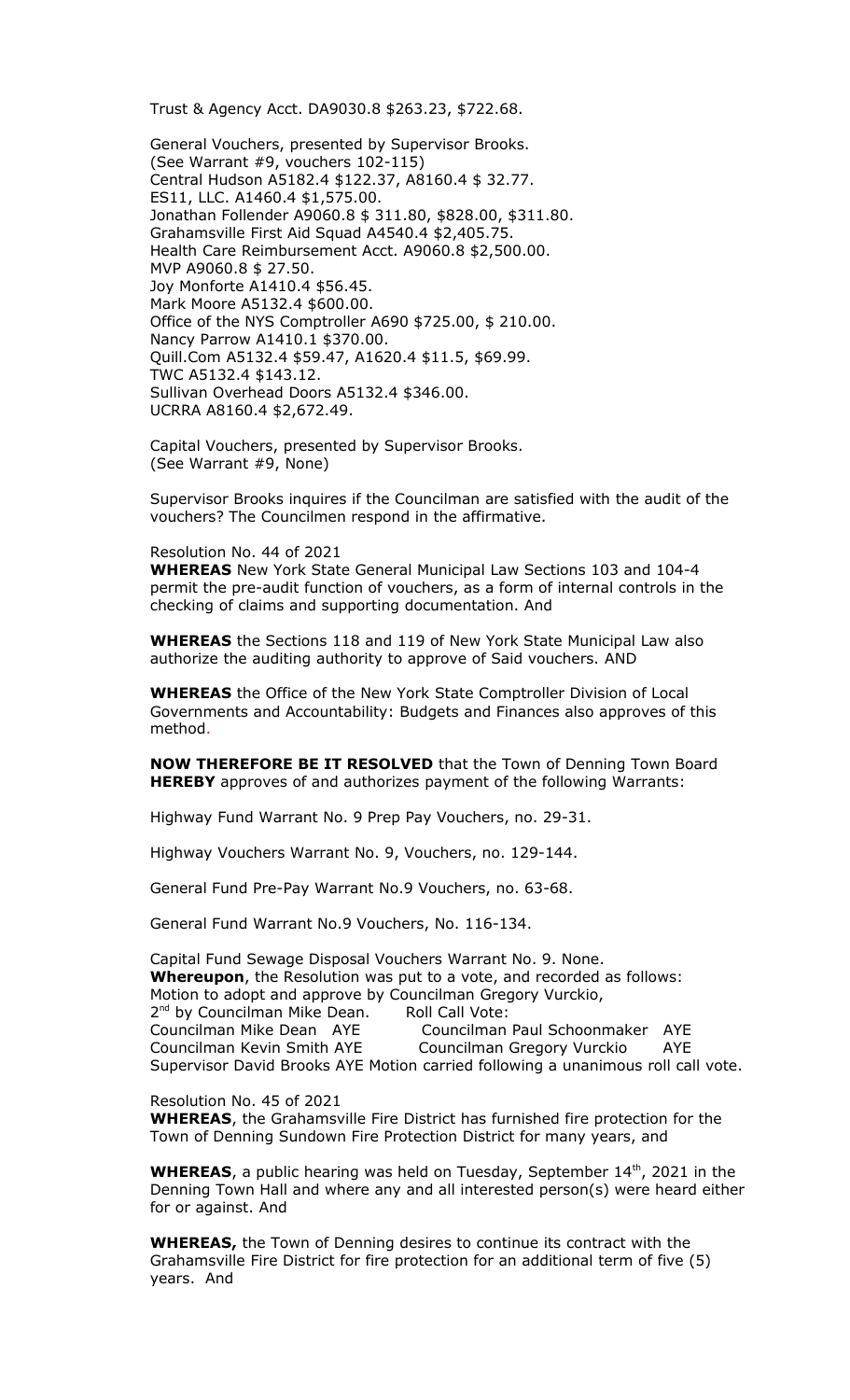Trust & Agency Acct. DA9030.8 \$263.23, \$722.68.

General Vouchers, presented by Supervisor Brooks. (See Warrant #9, vouchers 102-115) Central Hudson A5182.4 \$122.37, A8160.4 \$ 32.77. ES11, LLC. A1460.4 \$1,575.00. Jonathan Follender A9060.8 \$ 311.80, \$828.00, \$311.80. Grahamsville First Aid Squad A4540.4 \$2,405.75. Health Care Reimbursement Acct. A9060.8 \$2,500.00. MVP A9060.8 \$ 27.50. Joy Monforte A1410.4 \$56.45. Mark Moore A5132.4 \$600.00. Office of the NYS Comptroller A690 \$725.00, \$ 210.00. Nancy Parrow A1410.1 \$370.00. Quill.Com A5132.4 \$59.47, A1620.4 \$11.5, \$69.99. TWC A5132.4 \$143.12. Sullivan Overhead Doors A5132.4 \$346.00. UCRRA A8160.4 \$2,672.49.

Capital Vouchers, presented by Supervisor Brooks. (See Warrant #9, None)

Supervisor Brooks inquires if the Councilman are satisfied with the audit of the vouchers? The Councilmen respond in the affirmative.

## Resolution No. 44 of 2021

**WHEREAS** New York State General Municipal Law Sections 103 and 104-4 permit the pre-audit function of vouchers, as a form of internal controls in the checking of claims and supporting documentation. And

**WHEREAS** the Sections 118 and 119 of New York State Municipal Law also authorize the auditing authority to approve of Said vouchers. AND

**WHEREAS** the Office of the New York State Comptroller Division of Local Governments and Accountability: Budgets and Finances also approves of this method.

**NOW THEREFORE BE IT RESOLVED** that the Town of Denning Town Board **HEREBY** approves of and authorizes payment of the following Warrants:

Highway Fund Warrant No. 9 Prep Pay Vouchers, no. 29-31.

Highway Vouchers Warrant No. 9, Vouchers, no. 129-144.

General Fund Pre-Pay Warrant No.9 Vouchers, no. 63-68.

General Fund Warrant No.9 Vouchers, No. 116-134.

Capital Fund Sewage Disposal Vouchers Warrant No. 9. None. **Whereupon**, the Resolution was put to a vote, and recorded as follows: Motion to adopt and approve by Councilman Gregory Vurckio, 2<sup>nd</sup> by Councilman Mike Dean. Roll Call Vote: Councilman Mike Dean AYE Councilman Paul Schoonmaker AYE Councilman Kevin Smith AYE Councilman Gregory Vurckio AYE Supervisor David Brooks AYE Motion carried following a unanimous roll call vote.

Resolution No. 45 of 2021

**WHEREAS**, the Grahamsville Fire District has furnished fire protection for the Town of Denning Sundown Fire Protection District for many years, and

**WHEREAS**, a public hearing was held on Tuesday, September 14<sup>th</sup>, 2021 in the Denning Town Hall and where any and all interested person(s) were heard either for or against. And

**WHEREAS,** the Town of Denning desires to continue its contract with the Grahamsville Fire District for fire protection for an additional term of five (5) years. And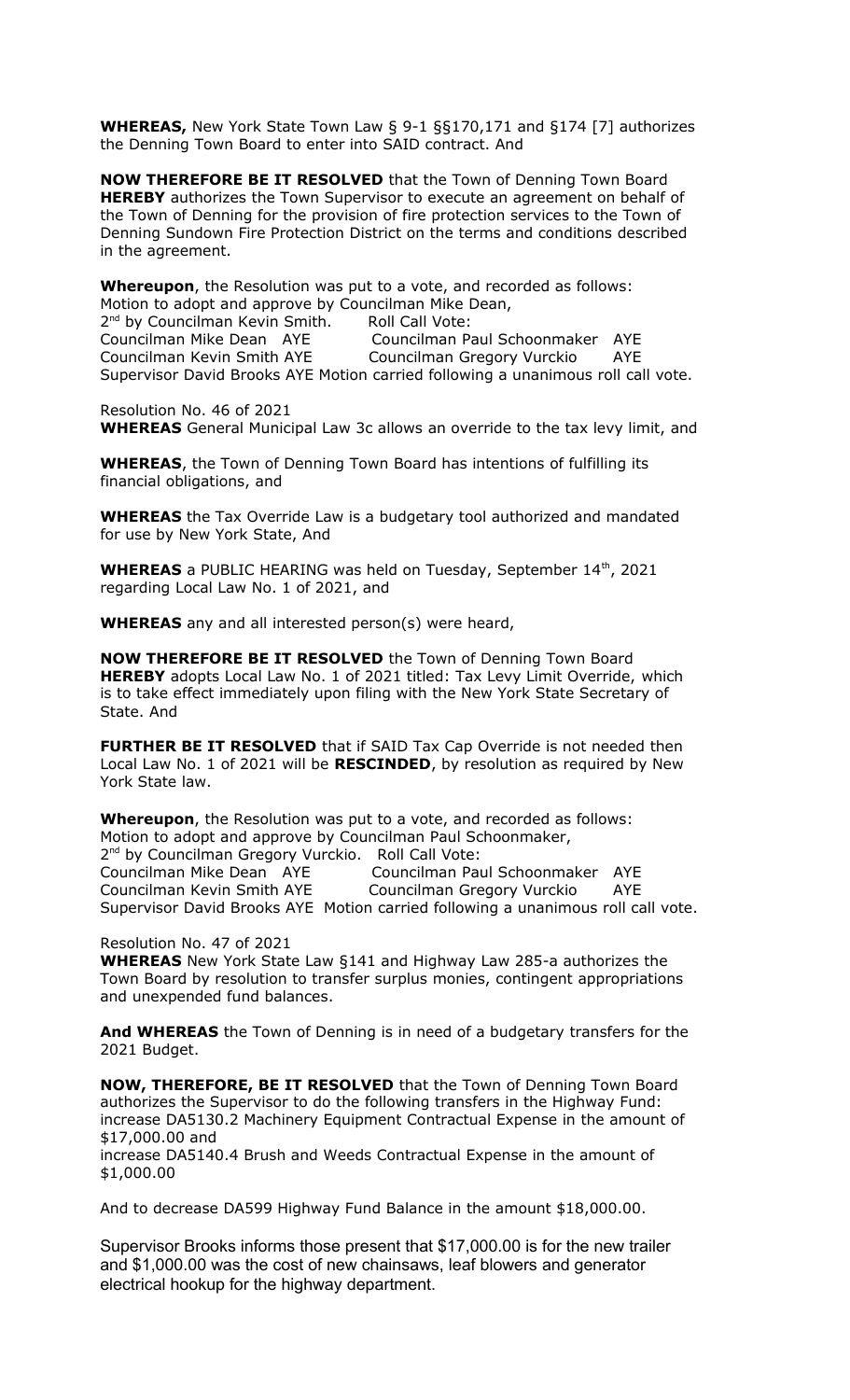**WHEREAS,** New York State Town Law § 9-1 §§170,171 and §174 [7] authorizes the Denning Town Board to enter into SAID contract. And

**NOW THEREFORE BE IT RESOLVED** that the Town of Denning Town Board **HEREBY** authorizes the Town Supervisor to execute an agreement on behalf of the Town of Denning for the provision of fire protection services to the Town of Denning Sundown Fire Protection District on the terms and conditions described in the agreement.

**Whereupon**, the Resolution was put to a vote, and recorded as follows: Motion to adopt and approve by Councilman Mike Dean, 2<sup>nd</sup> by Councilman Kevin Smith. Roll Call Vote: Councilman Mike Dean AYE Councilman Paul Schoonmaker AYE Councilman Kevin Smith AYE Councilman Gregory Vurckio AYE Supervisor David Brooks AYE Motion carried following a unanimous roll call vote.

Resolution No. 46 of 2021 **WHEREAS** General Municipal Law 3c allows an override to the tax levy limit, and

**WHEREAS**, the Town of Denning Town Board has intentions of fulfilling its financial obligations, and

**WHEREAS** the Tax Override Law is a budgetary tool authorized and mandated for use by New York State, And

**WHEREAS** a PUBLIC HEARING was held on Tuesday, September 14<sup>th</sup>, 2021 regarding Local Law No. 1 of 2021, and

**WHEREAS** any and all interested person(s) were heard,

**NOW THEREFORE BE IT RESOLVED** the Town of Denning Town Board **HEREBY** adopts Local Law No. 1 of 2021 titled: Tax Levy Limit Override, which is to take effect immediately upon filing with the New York State Secretary of State. And

**FURTHER BE IT RESOLVED** that if SAID Tax Cap Override is not needed then Local Law No. 1 of 2021 will be **RESCINDED**, by resolution as required by New York State law.

**Whereupon**, the Resolution was put to a vote, and recorded as follows: Motion to adopt and approve by Councilman Paul Schoonmaker, 2<sup>nd</sup> by Councilman Gregory Vurckio. Roll Call Vote:

Councilman Mike Dean AYE Councilman Paul Schoonmaker AYE Councilman Kevin Smith AYE Councilman Gregory Vurckio AYE Supervisor David Brooks AYE Motion carried following a unanimous roll call vote.

Resolution No. 47 of 2021

**WHEREAS** New York State Law §141 and Highway Law 285-a authorizes the Town Board by resolution to transfer surplus monies, contingent appropriations and unexpended fund balances.

**And WHEREAS** the Town of Denning is in need of a budgetary transfers for the 2021 Budget.

**NOW, THEREFORE, BE IT RESOLVED** that the Town of Denning Town Board authorizes the Supervisor to do the following transfers in the Highway Fund: increase DA5130.2 Machinery Equipment Contractual Expense in the amount of \$17,000.00 and

increase DA5140.4 Brush and Weeds Contractual Expense in the amount of \$1,000.00

And to decrease DA599 Highway Fund Balance in the amount \$18,000.00.

Supervisor Brooks informs those present that \$17,000.00 is for the new trailer and \$1,000.00 was the cost of new chainsaws, leaf blowers and generator electrical hookup for the highway department.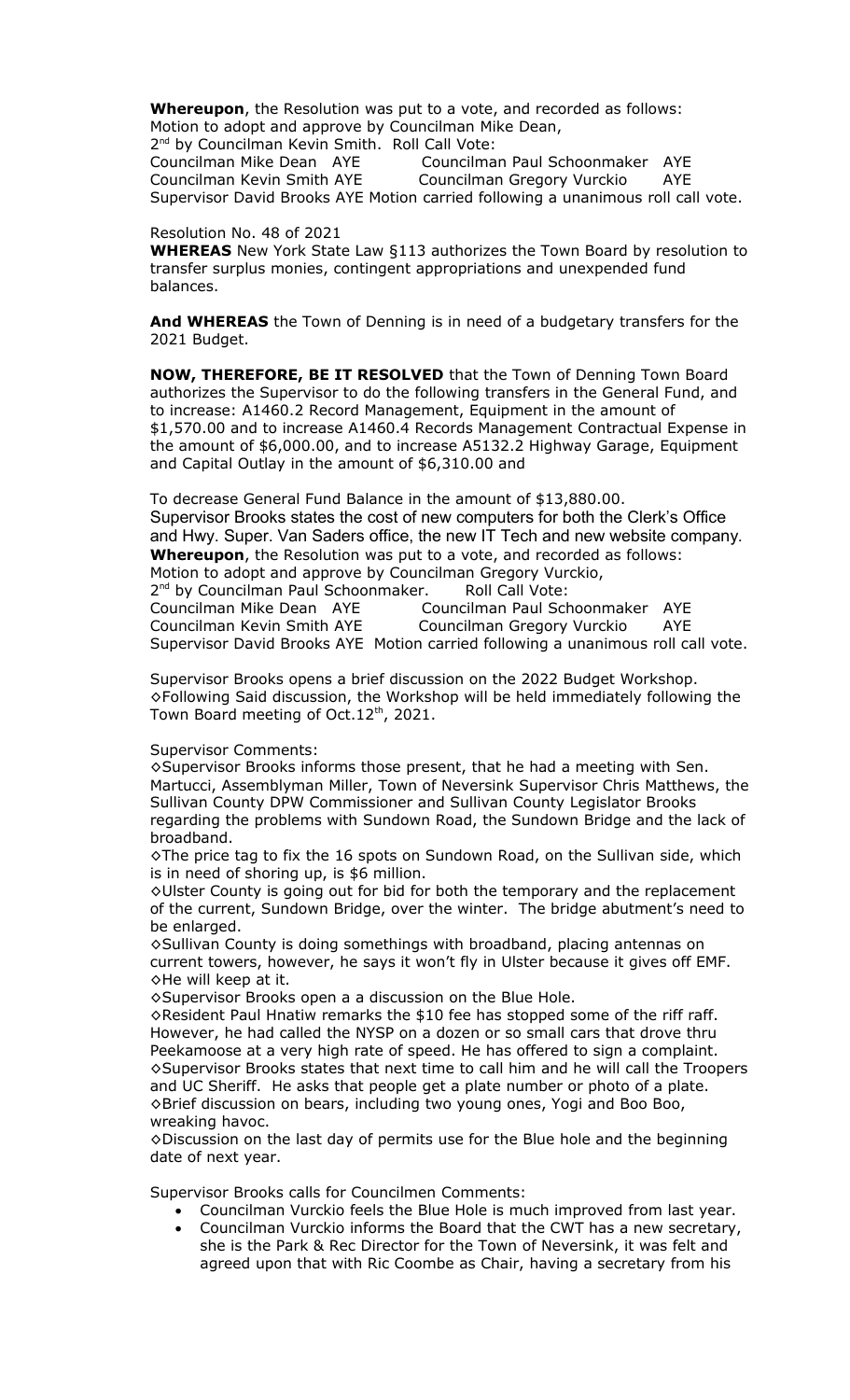**Whereupon**, the Resolution was put to a vote, and recorded as follows: Motion to adopt and approve by Councilman Mike Dean,

2<sup>nd</sup> by Councilman Kevin Smith. Roll Call Vote: Councilman Mike Dean AYE Councilman Paul Schoonmaker AYE Councilman Kevin Smith AYE Councilman Gregory Vurckio AYE Supervisor David Brooks AYE Motion carried following a unanimous roll call vote.

Resolution No. 48 of 2021

**WHEREAS** New York State Law §113 authorizes the Town Board by resolution to transfer surplus monies, contingent appropriations and unexpended fund balances.

**And WHEREAS** the Town of Denning is in need of a budgetary transfers for the 2021 Budget.

**NOW, THEREFORE, BE IT RESOLVED** that the Town of Denning Town Board authorizes the Supervisor to do the following transfers in the General Fund, and to increase: A1460.2 Record Management, Equipment in the amount of \$1,570.00 and to increase A1460.4 Records Management Contractual Expense in the amount of \$6,000.00, and to increase A5132.2 Highway Garage, Equipment and Capital Outlay in the amount of \$6,310.00 and

To decrease General Fund Balance in the amount of \$13,880.00. Supervisor Brooks states the cost of new computers for both the Clerk's Office and Hwy. Super. Van Saders office, the new IT Tech and new website company. **Whereupon**, the Resolution was put to a vote, and recorded as follows: Motion to adopt and approve by Councilman Gregory Vurckio, 2<sup>nd</sup> by Councilman Paul Schoonmaker. Roll Call Vote: Councilman Mike Dean AYE Councilman Paul Schoonmaker AYE Councilman Kevin Smith AYE Councilman Gregory Vurckio AYE

Supervisor David Brooks AYE Motion carried following a unanimous roll call vote.

Supervisor Brooks opens a brief discussion on the 2022 Budget Workshop. ◊Following Said discussion, the Workshop will be held immediately following the Town Board meeting of Oct.  $12<sup>th</sup>$ , 2021.

## Supervisor Comments:

◊Supervisor Brooks informs those present, that he had a meeting with Sen. Martucci, Assemblyman Miller, Town of Neversink Supervisor Chris Matthews, the Sullivan County DPW Commissioner and Sullivan County Legislator Brooks regarding the problems with Sundown Road, the Sundown Bridge and the lack of broadband.

◊The price tag to fix the 16 spots on Sundown Road, on the Sullivan side, which is in need of shoring up, is \$6 million.

◊Ulster County is going out for bid for both the temporary and the replacement of the current, Sundown Bridge, over the winter. The bridge abutment's need to be enlarged.

◊Sullivan County is doing somethings with broadband, placing antennas on current towers, however, he says it won't fly in Ulster because it gives off EMF. ◊He will keep at it.

◊Supervisor Brooks open a a discussion on the Blue Hole.

◊Resident Paul Hnatiw remarks the \$10 fee has stopped some of the riff raff. However, he had called the NYSP on a dozen or so small cars that drove thru Peekamoose at a very high rate of speed. He has offered to sign a complaint. ◊Supervisor Brooks states that next time to call him and he will call the Troopers and UC Sheriff. He asks that people get a plate number or photo of a plate. ◊Brief discussion on bears, including two young ones, Yogi and Boo Boo, wreaking havoc.

◊Discussion on the last day of permits use for the Blue hole and the beginning date of next year.

Supervisor Brooks calls for Councilmen Comments:

- Councilman Vurckio feels the Blue Hole is much improved from last year. Councilman Vurckio informs the Board that the CWT has a new secretary,
- she is the Park & Rec Director for the Town of Neversink, it was felt and agreed upon that with Ric Coombe as Chair, having a secretary from his